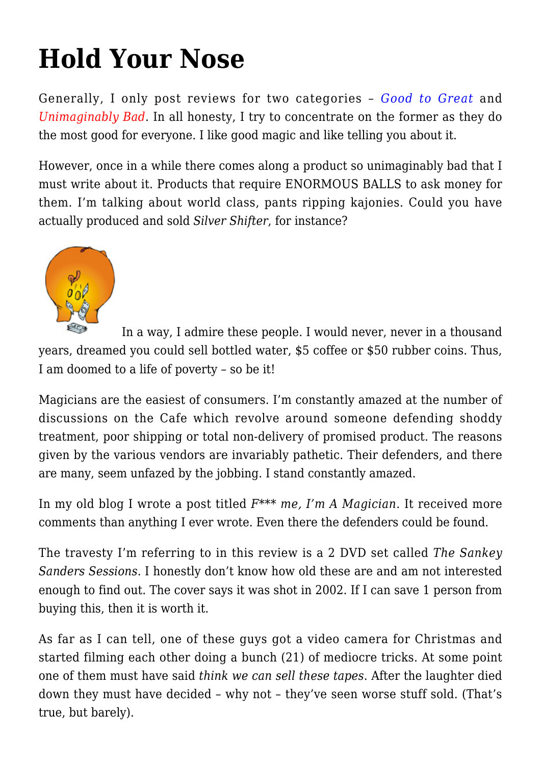## **[Hold Your Nose](https://intenselymagic.com/2007/09/13/hold-your-nose/)**

Generally, I only post reviews for two categories – *Good to Great* and *Unimaginably Bad*. In all honesty, I try to concentrate on the former as they do the most good for everyone. I like good magic and like telling you about it.

However, once in a while there comes along a product so unimaginably bad that I must write about it. Products that require ENORMOUS BALLS to ask money for them. I'm talking about world class, pants ripping kajonies. Could you have actually produced and sold *Silver Shifter*, for instance?



In a way, I admire these people. I would never, never in a thousand years, dreamed you could sell bottled water, \$5 coffee or \$50 rubber coins. Thus, I am doomed to a life of poverty – so be it!

Magicians are the easiest of consumers. I'm constantly amazed at the number of discussions on the Cafe which revolve around someone defending shoddy treatment, poor shipping or total non-delivery of promised product. The reasons given by the various vendors are invariably pathetic. Their defenders, and there are many, seem unfazed by the jobbing. I stand constantly amazed.

In my old blog I wrote a post titled *F\*\*\* me, I'm A Magician*. It received more comments than anything I ever wrote. Even there the defenders could be found.

The travesty I'm referring to in this review is a 2 DVD set called *The Sankey Sanders Sessions*. I honestly don't know how old these are and am not interested enough to find out. The cover says it was shot in 2002. If I can save 1 person from buying this, then it is worth it.

As far as I can tell, one of these guys got a video camera for Christmas and started filming each other doing a bunch (21) of mediocre tricks. At some point one of them must have said *think we can sell these tapes*. After the laughter died down they must have decided – why not – they've seen worse stuff sold. (That's true, but barely).